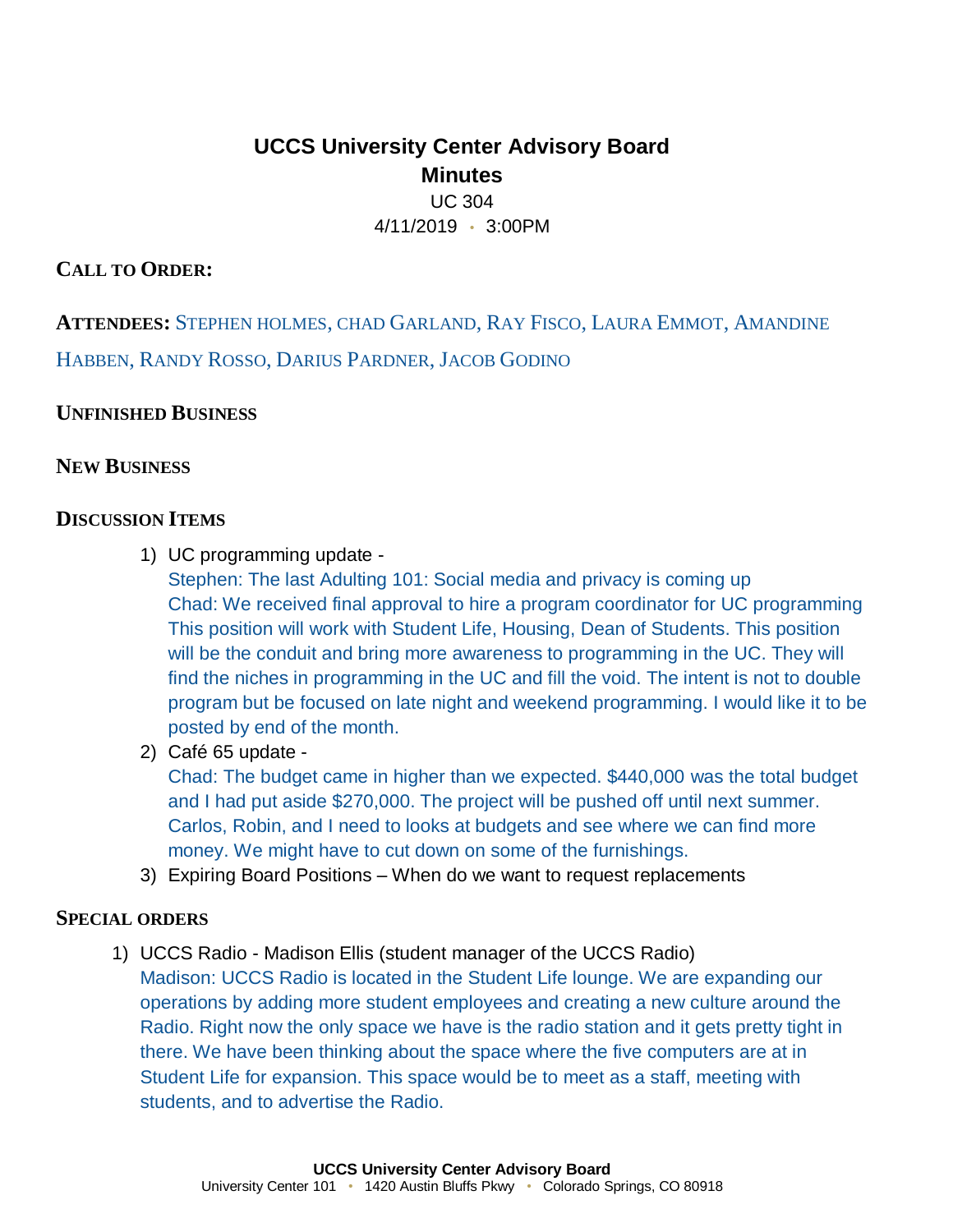# **UCCS University Center Advisory Board Minutes** UC 304 4/11/2019 • 3:00PM

## **CALL TO ORDER:**

**ATTENDEES:** STEPHEN HOLMES, CHAD GARLAND, RAY FISCO, LAURA EMMOT, AMANDINE HABBEN, RANDY ROSSO, DARIUS PARDNER, JACOB GODINO

## **UNFINISHED BUSINESS**

## **NEW BUSINESS**

#### **DISCUSSION ITEMS**

1) UC programming update -

Stephen: The last Adulting 101: Social media and privacy is coming up Chad: We received final approval to hire a program coordinator for UC programming This position will work with Student Life, Housing, Dean of Students. This position will be the conduit and bring more awareness to programming in the UC. They will find the niches in programming in the UC and fill the void. The intent is not to double program but be focused on late night and weekend programming. I would like it to be posted by end of the month.

2) Café 65 update -

Chad: The budget came in higher than we expected. \$440,000 was the total budget and I had put aside \$270,000. The project will be pushed off until next summer. Carlos, Robin, and I need to looks at budgets and see where we can find more money. We might have to cut down on some of the furnishings.

3) Expiring Board Positions – When do we want to request replacements

#### **SPECIAL ORDERS**

1) UCCS Radio - Madison Ellis (student manager of the UCCS Radio)

Madison: UCCS Radio is located in the Student Life lounge. We are expanding our operations by adding more student employees and creating a new culture around the Radio. Right now the only space we have is the radio station and it gets pretty tight in there. We have been thinking about the space where the five computers are at in Student Life for expansion. This space would be to meet as a staff, meeting with students, and to advertise the Radio.